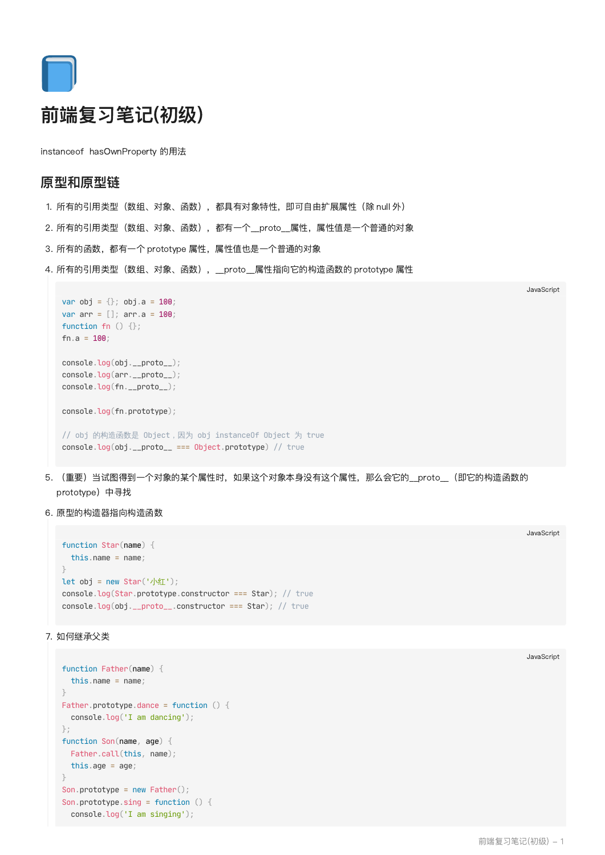

# 前端复习笔记(初级)

instanceof hasOwnProperty 的用法

#### 原型和原型链

- 1. 所有的引用类型(数组、对象、函数),都具有对象特性,即可自由扩展属性(除 null 外)
- 2. 所有的引用类型(数组、对象、函数),都有一个\_\_proto\_\_属性,属性值是一个普通的对象
- 3. 所有的函数,都有一个 prototype 属性,属性值也是一个普通的对象
- 4. 所有的引用类型(数组、对象、函数), \_\_proto\_\_属性指向它的构造函数的 prototype 属性

```
var obj = \{\}; obj.a = 100;
var arr = []; arr.a = 100;
function fn () {};
fn.a = 100;console.log(obj.__proto__);
console.log(arr.__proto__);
console.log(fn.__proto__);
console.log(fn.prototype);
// obj 的构造函数是 Object,因为 obj instanceOf Object 为 true
console.log(obj.__proto__ === Object.prototype) // true
```
5. (重要)当试图得到一个对象的某个属性时,如果这个对象本身没有这个属性,那么会它的\_\_proto\_\_(即它的构造函数的 prototype)中寻找

6. 原型的构造器指向构造函数

```
function Star(name) {
 this.name = name;}
let obj = new Star('小红');
console.log(Star.prototype.constructor === Star); // true
console.log(obj.__proto__.constructor === Star); // true
```
7. 如何继承父类

```
function Father(name) {
 this.name = name;
}
Father.prototype.dance = function () {
 console.log('I am dancing');
};
function Son(name, age) {
 Father.call(this, name);
 this.age = age;
}
Son.prototype = new Father();
Son.prototype.sing = function () {
  console.log('I am singing');
```
JavaScript

JavaScript

JavaScript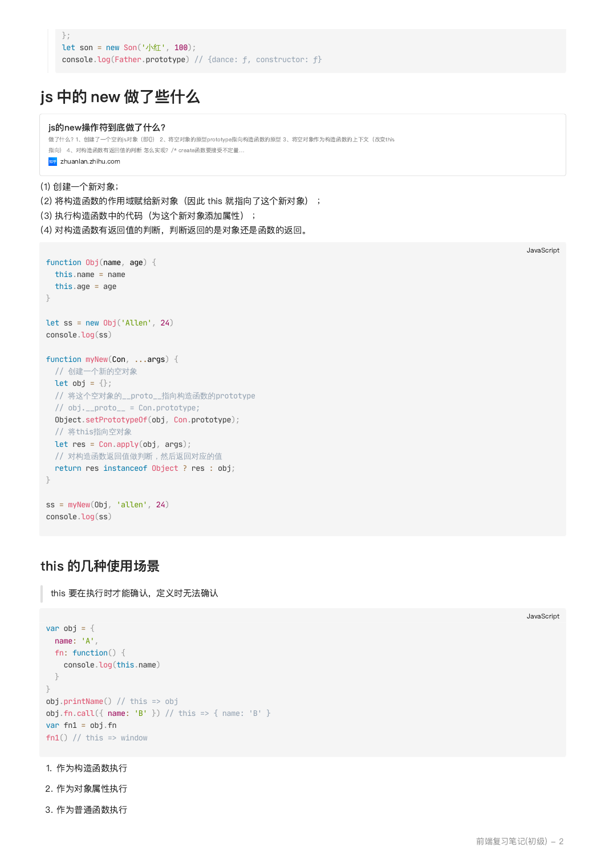## js 中的 new 做了些什么

#### [js的new操作符到底做了什么?](https://zhuanlan.zhihu.com/p/158640941) 做了什么?1、创建了一个空的js对象(即{}) 2、将空对象的原型prototype指向构造函数的原型 3、将空对象作为构造函数的上下文(改变this 指向) 4、对构造函数有返回值的判断 怎么实现?/\* create函数要接受不定量… **<sub>知乎</sub>** zhuanlan.zhihu.com

(1) 创建⼀个新对象;

(2) 将构造函数的作用域赋给新对象(因此 this 就指向了这个新对象) ;

(3) 执行构造函数中的代码(为这个新对象添加属性) ;

(4) 对构造函数有返回值的判断,判断返回的是对象还是函数的返回。

```
function Obj(name, age) {
 this.name = name
 this.age = age
}
let ss = new Obj('Allen', 24)
console.log(ss)
function myNew(Con, ...args) {
 // 创建一个新的空对象
 let obj = \{\};
 // 将这个空对象的__proto__指向构造函数的prototype
 // obj. proto = Con.prototype;
 Object.setPrototypeOf(obj, Con.prototype);
 // 将this指向空对象
 let res = Con.apply(obj, args);// 对构造函数返回值做判断,然后返回对应的值
 return res instanceof Object ? res : obj;
}
ss = myNew(Obj, 'allen', 24)
console.log(ss)
```
### this 的几种使用场景

this 要在执行时才能确认,定义时无法确认

```
var obj = \{name: 'A',
 fn: function() {
   console.log(this.name)
 }
}
obj.printName() // this => obj
obj.fn.call({ name: 'B' }) // this => { name: 'B' }
var fin1 = obj_fnfn1() // this => window
```
1. 作为构造函数执行

2. 作为对象属性执行

3. 作为普通函数执行

JavaScript

JavaScript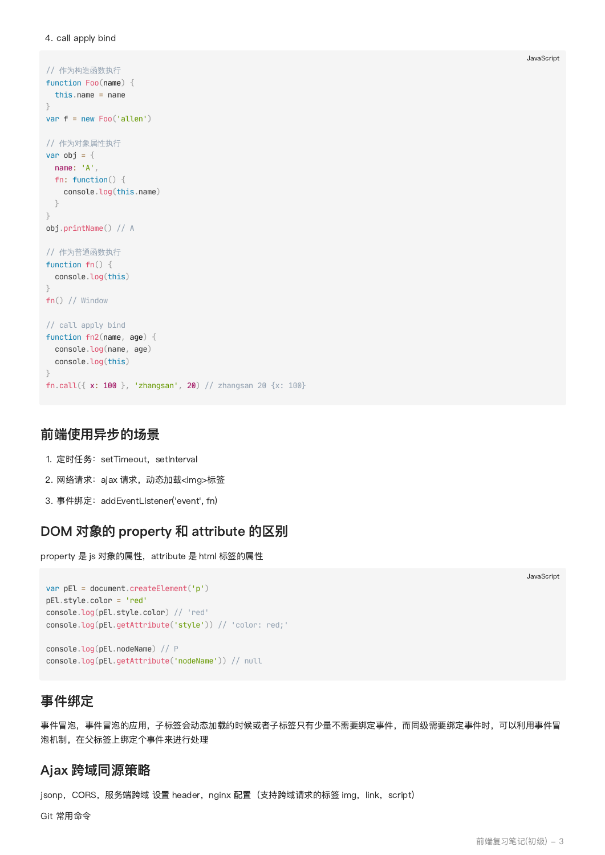```
// 作为构造函数执行
function Foo(name) {
 this.name = name
}
var f = new Foo('allen')
// 作为对象属性执行
var obj = \{name: 'A',
 fn: function() {
   console.log(this.name)
 }
}
obj.printName() // A
// 作为普通函数执行
function fn() {
 console.log(this)
}
fn() // Window
// call apply bind
function fn2(name, age) {
 console.log(name, age)
 console.log(this)
}
fn.call({x: 100}, 'zhangsan', 20) // zhangsan 20 {x: 100}
```
#### 前端使⽤异步的场景

- 1. 定时任务: setTimeout, setInterval
- 2. 网络请求:ajax 请求,动态加载<img>标签
- 3. 事件绑定: addEventListener('event', fn)

#### DOM 对象的 property 和 attribute 的区别

property 是 js 对象的属性, attribute 是 html 标签的属性

```
var pEl = document.createElement('p')
pEl.style.color = 'red'
console.log(pEl.style.color) // 'red'
console.log(pEl.getAttribute('style')) // 'color: red;'
```
console.log(pEl.nodeName) // P console.log(pEl.getAttribute('nodeName')) // null

### 事件绑定

事件冒泡,事件冒泡的应用,子标签会动态加载的时候或者子标签只有少量不需要绑定事件,而同级需要绑定事件时,可以利用事件冒 泡机制,在父标签上绑定个事件来进行处理

#### Ajax 跨域同源策略

jsonp, CORS, 服务端跨域 设置 header, nginx 配置 (支持跨域请求的标签 img, link, script)

Git 常用命令

JavaScript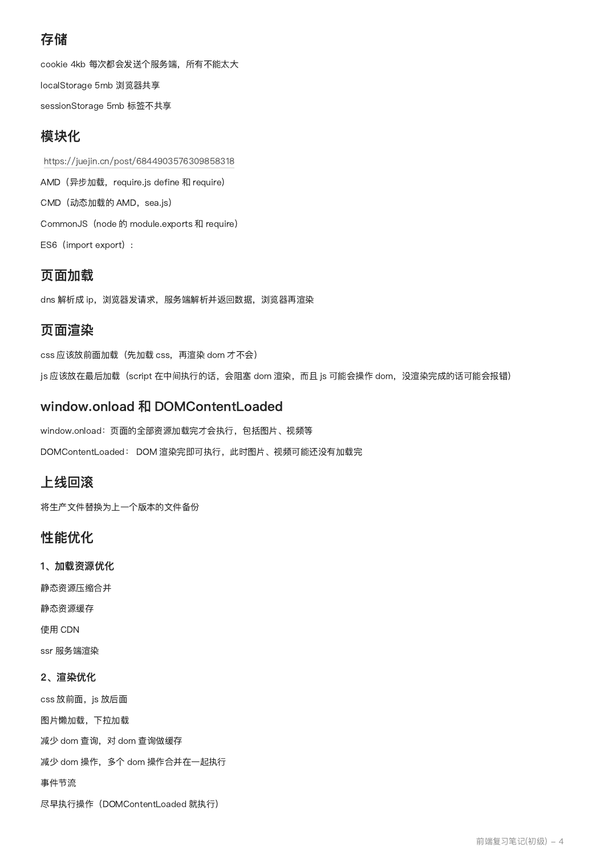### 存储

cookie 4kb 每次都会发送个服务端, 所有不能太大 localStorage 5mb 浏览器共享 sessionStorage 5mb 标签不共享

### 模块化

AMD (异步加载, require.js define 和 require) CMD (动态加载的 AMD, sea.js) CommonJS(node 的 module.exports 和 require) ES6(import export): https://juejin.cn/post/6844903576309858318

### 页面加载

dns 解析成 ip, 浏览器发请求, 服务端解析并返回数据, 浏览器再渲染

### 页面渲染

css 应该放前面加载 (先加载 css, 再渲染 dom 才不会) js 应该放在最后加载(script 在中间执行的话,会阻塞 dom 渲染,而且 js 可能会操作 dom,没渲染完成的话可能会报错)

### window.onload 和 DOMContentLoaded

window.onload: 页面的全部资源加载完才会执行, 包括图片、视频等 DOMContentLoaded: DOM 渲染完即可执行, 此时图片、视频可能还没有加载完

### 上线回滚

将生产文件替换为上一个版本的文件备份

### 性能优化

1、加载资源优化

静态资源压缩合并

静态资源缓存

使⽤ CDN

ssr 服务端渲染

#### 2、渲染优化

css 放前面, js 放后面

图⽚懒加载,下拉加载

减少 dom 查询, 对 dom 查询做缓存

减少 dom 操作, 多个 dom 操作合并在一起执行

事件节流

尽早执行操作 (DOMContentLoaded 就执行)